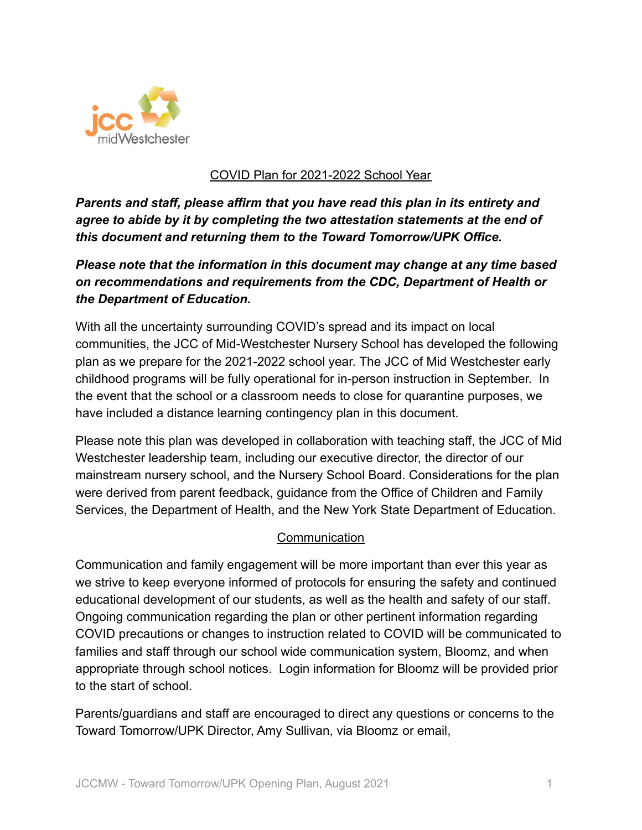

## COVID Plan for 2021-2022 School Year

*Parents and staff, please affirm that you have read this plan in its entirety and agree to abide by it by completing the two attestation statements at the end of this document and returning them to the Toward Tomorrow/UPK Office.*

# *Please note that the information in this document may change at any time based on recommendations and requirements from the CDC, Department of Health or the Department of Education.*

With all the uncertainty surrounding COVID's spread and its impact on local communities, the JCC of Mid-Westchester Nursery School has developed the following plan as we prepare for the 2021-2022 school year. The JCC of Mid Westchester early childhood programs will be fully operational for in-person instruction in September. In the event that the school or a classroom needs to close for quarantine purposes, we have included a distance learning contingency plan in this document.

Please note this plan was developed in collaboration with teaching staff, the JCC of Mid Westchester leadership team, including our executive director, the director of our mainstream nursery school, and the Nursery School Board. Considerations for the plan were derived from parent feedback, guidance from the Office of Children and Family Services, the Department of Health, and the New York State Department of Education.

### **Communication**

Communication and family engagement will be more important than ever this year as we strive to keep everyone informed of protocols for ensuring the safety and continued educational development of our students, as well as the health and safety of our staff. Ongoing communication regarding the plan or other pertinent information regarding COVID precautions or changes to instruction related to COVID will be communicated to families and staff through our school wide communication system, Bloomz, and when appropriate through school notices. Login information for Bloomz will be provided prior to the start of school.

Parents/guardians and staff are encouraged to direct any questions or concerns to the Toward Tomorrow/UPK Director, Amy Sullivan, via Bloomz or email,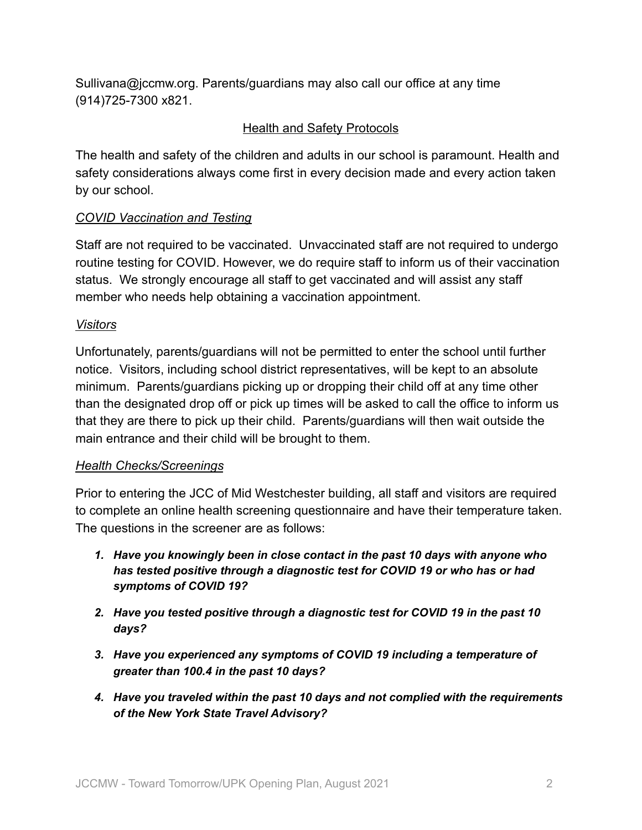Sullivana@jccmw.org. Parents/guardians may also call our office at any time (914)725-7300 x821.

## Health and Safety Protocols

The health and safety of the children and adults in our school is paramount. Health and safety considerations always come first in every decision made and every action taken by our school.

### *COVID Vaccination and Testing*

Staff are not required to be vaccinated. Unvaccinated staff are not required to undergo routine testing for COVID. However, we do require staff to inform us of their vaccination status. We strongly encourage all staff to get vaccinated and will assist any staff member who needs help obtaining a vaccination appointment.

### *Visitors*

Unfortunately, parents/guardians will not be permitted to enter the school until further notice. Visitors, including school district representatives, will be kept to an absolute minimum. Parents/guardians picking up or dropping their child off at any time other than the designated drop off or pick up times will be asked to call the office to inform us that they are there to pick up their child. Parents/guardians will then wait outside the main entrance and their child will be brought to them.

### *Health Checks/Screenings*

Prior to entering the JCC of Mid Westchester building, all staff and visitors are required to complete an online health screening questionnaire and have their temperature taken. The questions in the screener are as follows:

- *1. Have you knowingly been in close contact in the past 10 days with anyone who has tested positive through a diagnostic test for COVID 19 or who has or had symptoms of COVID 19?*
- *2. Have you tested positive through a diagnostic test for COVID 19 in the past 10 days?*
- *3. Have you experienced any symptoms of COVID 19 including a temperature of greater than 100.4 in the past 10 days?*
- *4. Have you traveled within the past 10 days and not complied with the requirements of the New York State Travel Advisory?*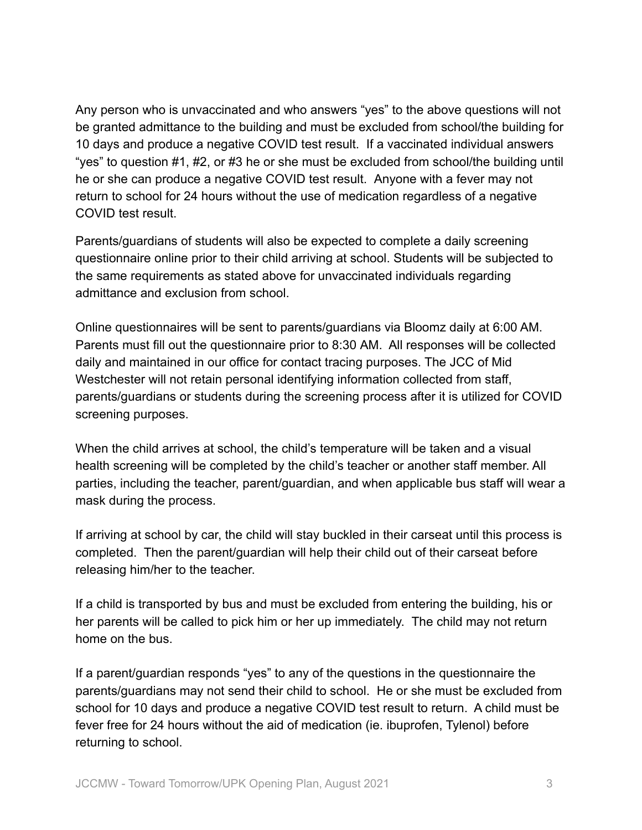Any person who is unvaccinated and who answers "yes" to the above questions will not be granted admittance to the building and must be excluded from school/the building for 10 days and produce a negative COVID test result. If a vaccinated individual answers "yes" to question #1, #2, or #3 he or she must be excluded from school/the building until he or she can produce a negative COVID test result. Anyone with a fever may not return to school for 24 hours without the use of medication regardless of a negative COVID test result.

Parents/guardians of students will also be expected to complete a daily screening questionnaire online prior to their child arriving at school. Students will be subjected to the same requirements as stated above for unvaccinated individuals regarding admittance and exclusion from school.

Online questionnaires will be sent to parents/guardians via Bloomz daily at 6:00 AM. Parents must fill out the questionnaire prior to 8:30 AM. All responses will be collected daily and maintained in our office for contact tracing purposes. The JCC of Mid Westchester will not retain personal identifying information collected from staff, parents/guardians or students during the screening process after it is utilized for COVID screening purposes.

When the child arrives at school, the child's temperature will be taken and a visual health screening will be completed by the child's teacher or another staff member. All parties, including the teacher, parent/guardian, and when applicable bus staff will wear a mask during the process.

If arriving at school by car, the child will stay buckled in their carseat until this process is completed. Then the parent/guardian will help their child out of their carseat before releasing him/her to the teacher.

If a child is transported by bus and must be excluded from entering the building, his or her parents will be called to pick him or her up immediately. The child may not return home on the bus.

If a parent/guardian responds "yes" to any of the questions in the questionnaire the parents/guardians may not send their child to school. He or she must be excluded from school for 10 days and produce a negative COVID test result to return. A child must be fever free for 24 hours without the aid of medication (ie. ibuprofen, Tylenol) before returning to school.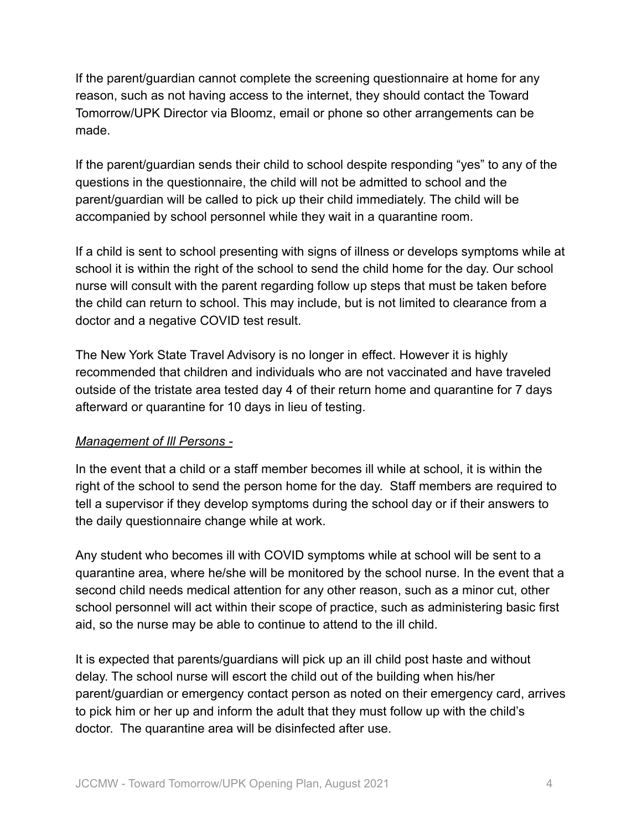If the parent/guardian cannot complete the screening questionnaire at home for any reason, such as not having access to the internet, they should contact the Toward Tomorrow/UPK Director via Bloomz, email or phone so other arrangements can be made.

If the parent/guardian sends their child to school despite responding "yes" to any of the questions in the questionnaire, the child will not be admitted to school and the parent/guardian will be called to pick up their child immediately. The child will be accompanied by school personnel while they wait in a quarantine room.

If a child is sent to school presenting with signs of illness or develops symptoms while at school it is within the right of the school to send the child home for the day. Our school nurse will consult with the parent regarding follow up steps that must be taken before the child can return to school. This may include, but is not limited to clearance from a doctor and a negative COVID test result.

The New York State Travel Advisory is no longer in effect. However it is highly recommended that children and individuals who are not vaccinated and have traveled outside of the tristate area tested day 4 of their return home and quarantine for 7 days afterward or quarantine for 10 days in lieu of testing.

#### *Management of Ill Persons -*

In the event that a child or a staff member becomes ill while at school, it is within the right of the school to send the person home for the day. Staff members are required to tell a supervisor if they develop symptoms during the school day or if their answers to the daily questionnaire change while at work.

Any student who becomes ill with COVID symptoms while at school will be sent to a quarantine area, where he/she will be monitored by the school nurse. In the event that a second child needs medical attention for any other reason, such as a minor cut, other school personnel will act within their scope of practice, such as administering basic first aid, so the nurse may be able to continue to attend to the ill child.

It is expected that parents/guardians will pick up an ill child post haste and without delay. The school nurse will escort the child out of the building when his/her parent/guardian or emergency contact person as noted on their emergency card, arrives to pick him or her up and inform the adult that they must follow up with the child's doctor. The quarantine area will be disinfected after use.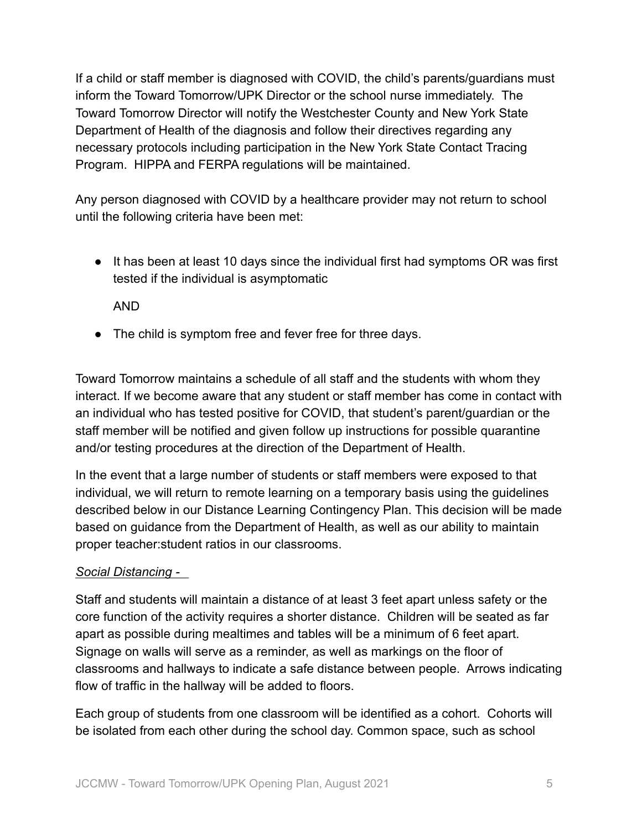If a child or staff member is diagnosed with COVID, the child's parents/guardians must inform the Toward Tomorrow/UPK Director or the school nurse immediately. The Toward Tomorrow Director will notify the Westchester County and New York State Department of Health of the diagnosis and follow their directives regarding any necessary protocols including participation in the New York State Contact Tracing Program. HIPPA and FERPA regulations will be maintained.

Any person diagnosed with COVID by a healthcare provider may not return to school until the following criteria have been met:

● It has been at least 10 days since the individual first had symptoms OR was first tested if the individual is asymptomatic

AND

• The child is symptom free and fever free for three days.

Toward Tomorrow maintains a schedule of all staff and the students with whom they interact. If we become aware that any student or staff member has come in contact with an individual who has tested positive for COVID, that student's parent/guardian or the staff member will be notified and given follow up instructions for possible quarantine and/or testing procedures at the direction of the Department of Health.

In the event that a large number of students or staff members were exposed to that individual, we will return to remote learning on a temporary basis using the guidelines described below in our Distance Learning Contingency Plan. This decision will be made based on guidance from the Department of Health, as well as our ability to maintain proper teacher:student ratios in our classrooms.

### *Social Distancing -*

Staff and students will maintain a distance of at least 3 feet apart unless safety or the core function of the activity requires a shorter distance. Children will be seated as far apart as possible during mealtimes and tables will be a minimum of 6 feet apart. Signage on walls will serve as a reminder, as well as markings on the floor of classrooms and hallways to indicate a safe distance between people. Arrows indicating flow of traffic in the hallway will be added to floors.

Each group of students from one classroom will be identified as a cohort. Cohorts will be isolated from each other during the school day. Common space, such as school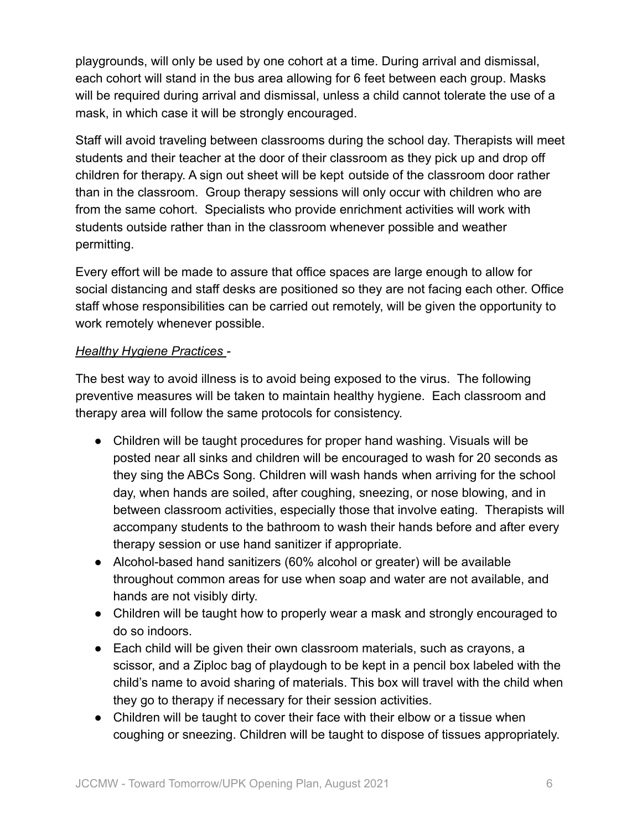playgrounds, will only be used by one cohort at a time. During arrival and dismissal, each cohort will stand in the bus area allowing for 6 feet between each group. Masks will be required during arrival and dismissal, unless a child cannot tolerate the use of a mask, in which case it will be strongly encouraged.

Staff will avoid traveling between classrooms during the school day. Therapists will meet students and their teacher at the door of their classroom as they pick up and drop off children for therapy. A sign out sheet will be kept outside of the classroom door rather than in the classroom. Group therapy sessions will only occur with children who are from the same cohort. Specialists who provide enrichment activities will work with students outside rather than in the classroom whenever possible and weather permitting.

Every effort will be made to assure that office spaces are large enough to allow for social distancing and staff desks are positioned so they are not facing each other. Office staff whose responsibilities can be carried out remotely, will be given the opportunity to work remotely whenever possible.

## *Healthy Hygiene Practices -*

The best way to avoid illness is to avoid being exposed to the virus. The following preventive measures will be taken to maintain healthy hygiene. Each classroom and therapy area will follow the same protocols for consistency.

- Children will be taught procedures for proper hand washing. Visuals will be posted near all sinks and children will be encouraged to wash for 20 seconds as they sing the ABCs Song. Children will wash hands when arriving for the school day, when hands are soiled, after coughing, sneezing, or nose blowing, and in between classroom activities, especially those that involve eating. Therapists will accompany students to the bathroom to wash their hands before and after every therapy session or use hand sanitizer if appropriate.
- Alcohol-based hand sanitizers (60% alcohol or greater) will be available throughout common areas for use when soap and water are not available, and hands are not visibly dirty.
- Children will be taught how to properly wear a mask and strongly encouraged to do so indoors.
- Each child will be given their own classroom materials, such as crayons, a scissor, and a Ziploc bag of playdough to be kept in a pencil box labeled with the child's name to avoid sharing of materials. This box will travel with the child when they go to therapy if necessary for their session activities.
- Children will be taught to cover their face with their elbow or a tissue when coughing or sneezing. Children will be taught to dispose of tissues appropriately.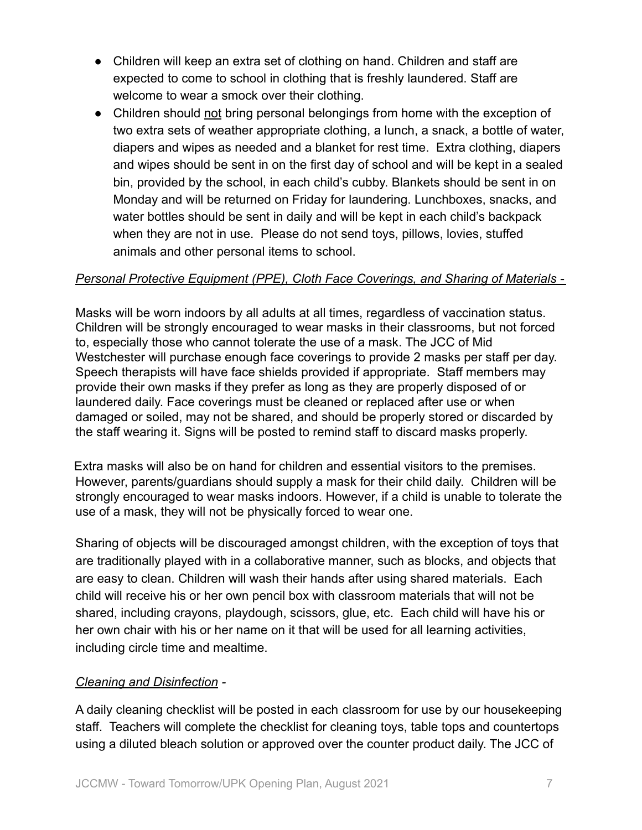- Children will keep an extra set of clothing on hand. Children and staff are expected to come to school in clothing that is freshly laundered. Staff are welcome to wear a smock over their clothing.
- Children should not bring personal belongings from home with the exception of two extra sets of weather appropriate clothing, a lunch, a snack, a bottle of water, diapers and wipes as needed and a blanket for rest time. Extra clothing, diapers and wipes should be sent in on the first day of school and will be kept in a sealed bin, provided by the school, in each child's cubby. Blankets should be sent in on Monday and will be returned on Friday for laundering. Lunchboxes, snacks, and water bottles should be sent in daily and will be kept in each child's backpack when they are not in use. Please do not send toys, pillows, lovies, stuffed animals and other personal items to school.

#### *Personal Protective Equipment (PPE), Cloth Face Coverings, and Sharing of Materials -*

Masks will be worn indoors by all adults at all times, regardless of vaccination status. Children will be strongly encouraged to wear masks in their classrooms, but not forced to, especially those who cannot tolerate the use of a mask. The JCC of Mid Westchester will purchase enough face coverings to provide 2 masks per staff per day. Speech therapists will have face shields provided if appropriate. Staff members may provide their own masks if they prefer as long as they are properly disposed of or laundered daily. Face coverings must be cleaned or replaced after use or when damaged or soiled, may not be shared, and should be properly stored or discarded by the staff wearing it. Signs will be posted to remind staff to discard masks properly.

Extra masks will also be on hand for children and essential visitors to the premises. However, parents/guardians should supply a mask for their child daily. Children will be strongly encouraged to wear masks indoors. However, if a child is unable to tolerate the use of a mask, they will not be physically forced to wear one.

Sharing of objects will be discouraged amongst children, with the exception of toys that are traditionally played with in a collaborative manner, such as blocks, and objects that are easy to clean. Children will wash their hands after using shared materials. Each child will receive his or her own pencil box with classroom materials that will not be shared, including crayons, playdough, scissors, glue, etc. Each child will have his or her own chair with his or her name on it that will be used for all learning activities, including circle time and mealtime.

### *Cleaning and Disinfection -*

A daily cleaning checklist will be posted in each classroom for use by our housekeeping staff. Teachers will complete the checklist for cleaning toys, table tops and countertops using a diluted bleach solution or approved over the counter product daily. The JCC of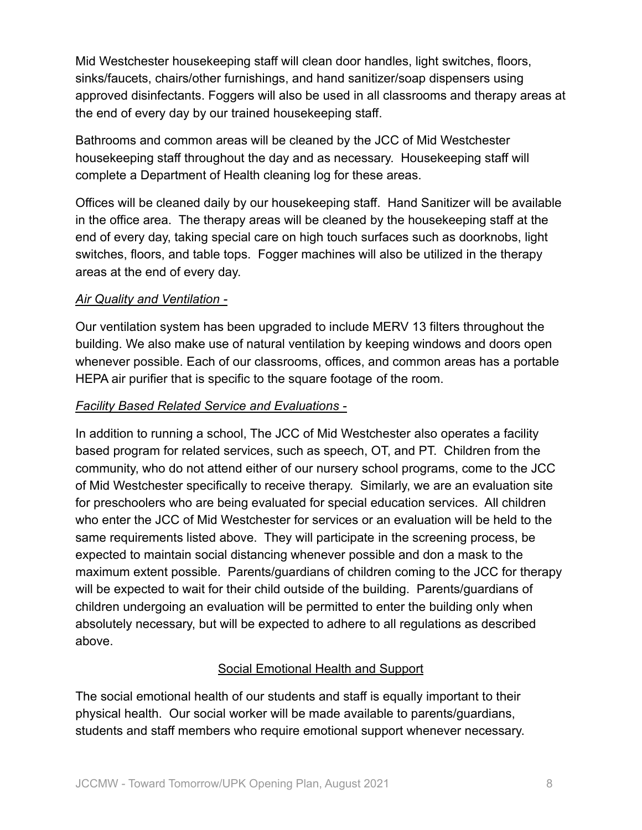Mid Westchester housekeeping staff will clean door handles, light switches, floors, sinks/faucets, chairs/other furnishings, and hand sanitizer/soap dispensers using approved disinfectants. Foggers will also be used in all classrooms and therapy areas at the end of every day by our trained housekeeping staff.

Bathrooms and common areas will be cleaned by the JCC of Mid Westchester housekeeping staff throughout the day and as necessary. Housekeeping staff will complete a Department of Health cleaning log for these areas.

Offices will be cleaned daily by our housekeeping staff. Hand Sanitizer will be available in the office area. The therapy areas will be cleaned by the housekeeping staff at the end of every day, taking special care on high touch surfaces such as doorknobs, light switches, floors, and table tops. Fogger machines will also be utilized in the therapy areas at the end of every day.

## *Air Quality and Ventilation -*

Our ventilation system has been upgraded to include MERV 13 filters throughout the building. We also make use of natural ventilation by keeping windows and doors open whenever possible. Each of our classrooms, offices, and common areas has a portable HEPA air purifier that is specific to the square footage of the room.

### *Facility Based Related Service and Evaluations -*

In addition to running a school, The JCC of Mid Westchester also operates a facility based program for related services, such as speech, OT, and PT. Children from the community, who do not attend either of our nursery school programs, come to the JCC of Mid Westchester specifically to receive therapy. Similarly, we are an evaluation site for preschoolers who are being evaluated for special education services. All children who enter the JCC of Mid Westchester for services or an evaluation will be held to the same requirements listed above. They will participate in the screening process, be expected to maintain social distancing whenever possible and don a mask to the maximum extent possible. Parents/guardians of children coming to the JCC for therapy will be expected to wait for their child outside of the building. Parents/guardians of children undergoing an evaluation will be permitted to enter the building only when absolutely necessary, but will be expected to adhere to all regulations as described above.

## Social Emotional Health and Support

The social emotional health of our students and staff is equally important to their physical health. Our social worker will be made available to parents/guardians, students and staff members who require emotional support whenever necessary.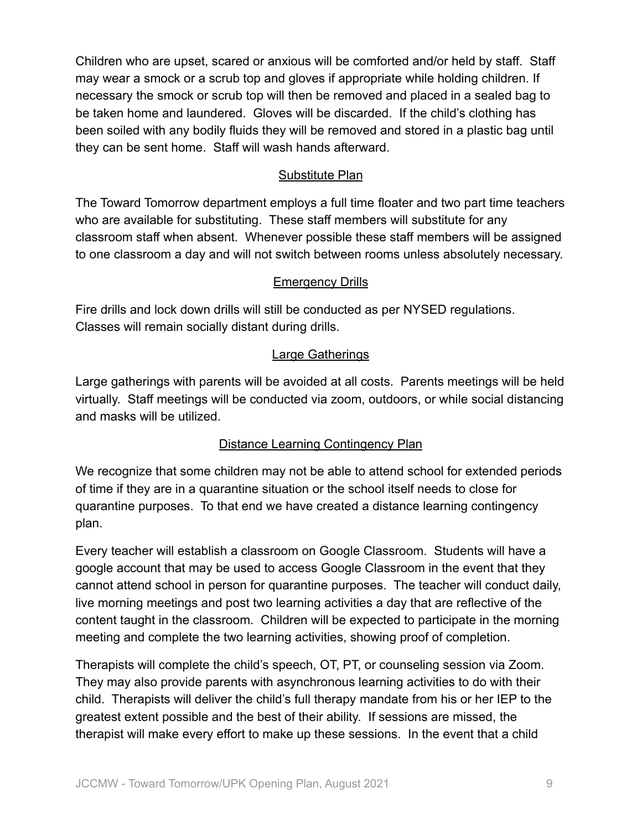Children who are upset, scared or anxious will be comforted and/or held by staff. Staff may wear a smock or a scrub top and gloves if appropriate while holding children. If necessary the smock or scrub top will then be removed and placed in a sealed bag to be taken home and laundered. Gloves will be discarded. If the child's clothing has been soiled with any bodily fluids they will be removed and stored in a plastic bag until they can be sent home. Staff will wash hands afterward.

## Substitute Plan

The Toward Tomorrow department employs a full time floater and two part time teachers who are available for substituting. These staff members will substitute for any classroom staff when absent. Whenever possible these staff members will be assigned to one classroom a day and will not switch between rooms unless absolutely necessary.

## **Emergency Drills**

Fire drills and lock down drills will still be conducted as per NYSED regulations. Classes will remain socially distant during drills.

## Large Gatherings

Large gatherings with parents will be avoided at all costs. Parents meetings will be held virtually. Staff meetings will be conducted via zoom, outdoors, or while social distancing and masks will be utilized.

# Distance Learning Contingency Plan

We recognize that some children may not be able to attend school for extended periods of time if they are in a quarantine situation or the school itself needs to close for quarantine purposes. To that end we have created a distance learning contingency plan.

Every teacher will establish a classroom on Google Classroom. Students will have a google account that may be used to access Google Classroom in the event that they cannot attend school in person for quarantine purposes. The teacher will conduct daily, live morning meetings and post two learning activities a day that are reflective of the content taught in the classroom. Children will be expected to participate in the morning meeting and complete the two learning activities, showing proof of completion.

Therapists will complete the child's speech, OT, PT, or counseling session via Zoom. They may also provide parents with asynchronous learning activities to do with their child. Therapists will deliver the child's full therapy mandate from his or her IEP to the greatest extent possible and the best of their ability. If sessions are missed, the therapist will make every effort to make up these sessions. In the event that a child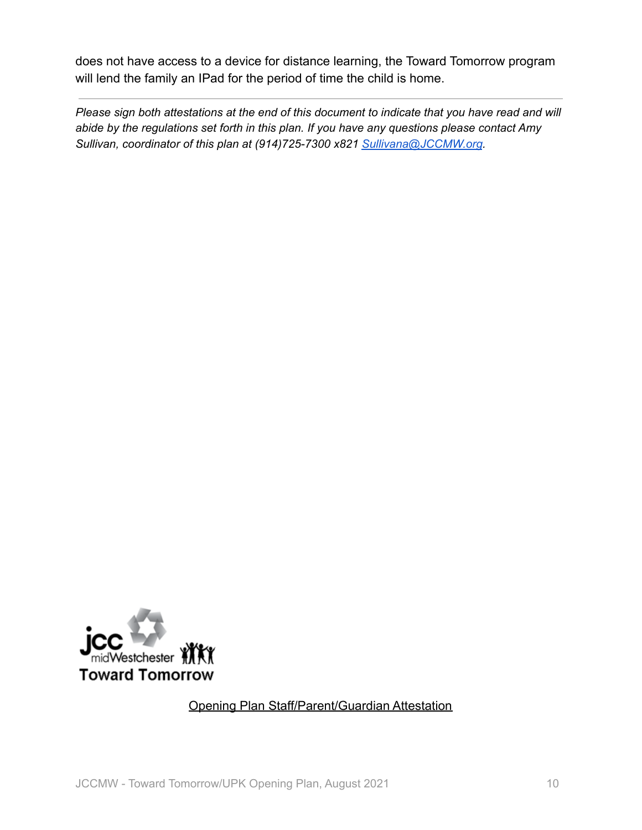does not have access to a device for distance learning, the Toward Tomorrow program will lend the family an IPad for the period of time the child is home.

*Please sign both attestations at the end of this document to indicate that you have read and will abide by the regulations set forth in this plan. If you have any questions please contact Amy Sullivan, coordinator of this plan at (914)725-7300 x821 [Sullivana@JCCMW.org](mailto:Sullivana@JCCMW.org).*



## Opening Plan Staff/Parent/Guardian Attestation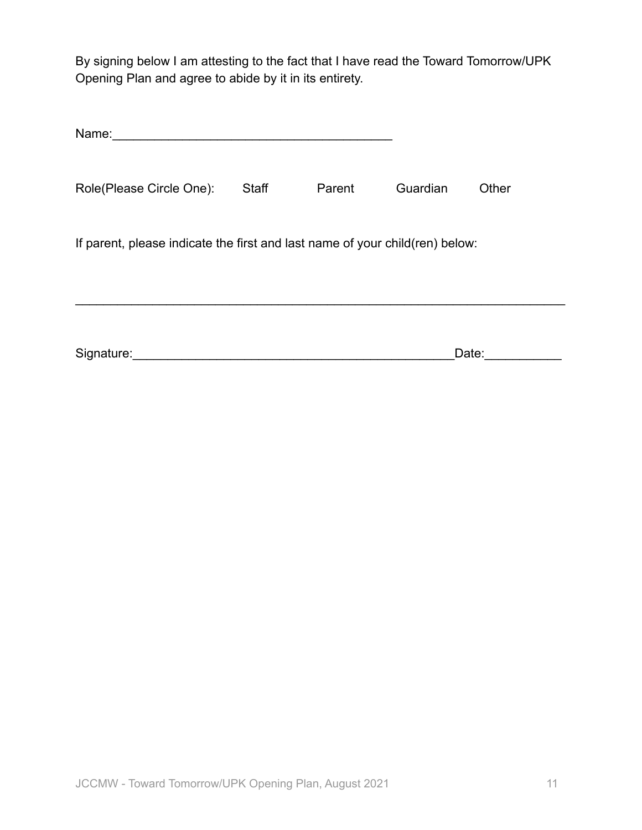By signing below I am attesting to the fact that I have read the Toward Tomorrow/UPK Opening Plan and agree to abide by it in its entirety.

| Name:                                                                        |              |        |          |       |  |  |
|------------------------------------------------------------------------------|--------------|--------|----------|-------|--|--|
| Role(Please Circle One):                                                     | <b>Staff</b> | Parent | Guardian | Other |  |  |
| If parent, please indicate the first and last name of your child(ren) below: |              |        |          |       |  |  |
| Signature:                                                                   |              |        |          | Date: |  |  |